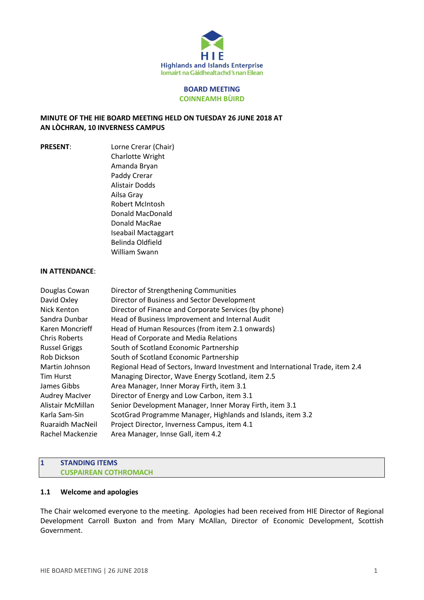

### **BOARD MEETING COINNEAMH BÙIRD**

### **MINUTE OF THE HIE BOARD MEETING HELD ON TUESDAY 26 JUNE 2018 AT AN LÒCHRAN, 10 INVERNESS CAMPUS**

**PRESENT:** Lorne Crerar (Chair) Charlotte Wright Amanda Bryan Paddy Crerar Alistair Dodds Ailsa Gray Robert McIntosh Donald MacDonald Donald MacRae Iseabail Mactaggart Belinda Oldfield William Swann

#### **IN ATTENDANCE**:

| Douglas Cowan           | Director of Strengthening Communities                                         |
|-------------------------|-------------------------------------------------------------------------------|
| David Oxley             | Director of Business and Sector Development                                   |
| Nick Kenton             | Director of Finance and Corporate Services (by phone)                         |
| Sandra Dunbar           | Head of Business Improvement and Internal Audit                               |
| Karen Moncrieff         | Head of Human Resources (from item 2.1 onwards)                               |
| <b>Chris Roberts</b>    | Head of Corporate and Media Relations                                         |
| <b>Russel Griggs</b>    | South of Scotland Economic Partnership                                        |
| Rob Dickson             | South of Scotland Economic Partnership                                        |
| Martin Johnson          | Regional Head of Sectors, Inward Investment and International Trade, item 2.4 |
| <b>Tim Hurst</b>        | Managing Director, Wave Energy Scotland, item 2.5                             |
| James Gibbs             | Area Manager, Inner Moray Firth, item 3.1                                     |
| <b>Audrey MacIver</b>   | Director of Energy and Low Carbon, item 3.1                                   |
| Alistair McMillan       | Senior Development Manager, Inner Moray Firth, item 3.1                       |
| Karla Sam-Sin           | ScotGrad Programme Manager, Highlands and Islands, item 3.2                   |
| <b>Ruaraidh MacNeil</b> | Project Director, Inverness Campus, item 4.1                                  |
| Rachel Mackenzie        | Area Manager, Innse Gall, item 4.2                                            |

#### **1 STANDING ITEMS CUSPAIREAN COTHROMACH**

### **1.1 Welcome and apologies**

The Chair welcomed everyone to the meeting. Apologies had been received from HIE Director of Regional Development Carroll Buxton and from Mary McAllan, Director of Economic Development, Scottish Government.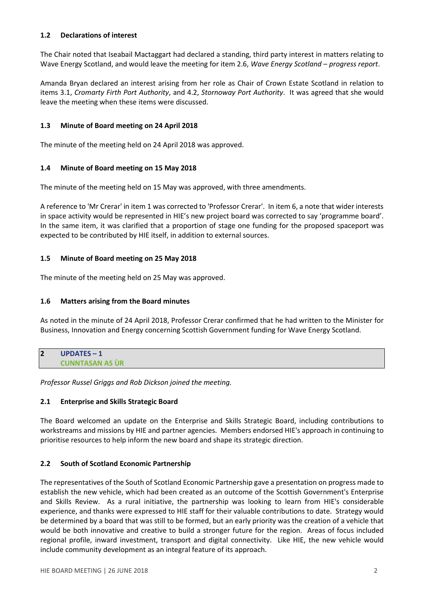# **1.2 Declarations of interest**

The Chair noted that Iseabail Mactaggart had declared a standing, third party interest in matters relating to Wave Energy Scotland, and would leave the meeting for item 2.6, *Wave Energy Scotland – progress report*.

Amanda Bryan declared an interest arising from her role as Chair of Crown Estate Scotland in relation to items 3.1, *Cromarty Firth Port Authority*, and 4.2, *Stornoway Port Authority*. It was agreed that she would leave the meeting when these items were discussed.

### **1.3 Minute of Board meeting on 24 April 2018**

The minute of the meeting held on 24 April 2018 was approved.

# **1.4 Minute of Board meeting on 15 May 2018**

The minute of the meeting held on 15 May was approved, with three amendments.

A reference to 'Mr Crerar' in item 1 was corrected to 'Professor Crerar'. In item 6, a note that wider interests in space activity would be represented in HIE's new project board was corrected to say 'programme board'. In the same item, it was clarified that a proportion of stage one funding for the proposed spaceport was expected to be contributed by HIE itself, in addition to external sources.

# **1.5 Minute of Board meeting on 25 May 2018**

The minute of the meeting held on 25 May was approved.

# **1.6 Matters arising from the Board minutes**

As noted in the minute of 24 April 2018, Professor Crerar confirmed that he had written to the Minister for Business, Innovation and Energy concerning Scottish Government funding for Wave Energy Scotland.

| $\bullet$<br>∠ | <b>UPDATES - 1</b>     |
|----------------|------------------------|
|                | <b>CUNNTASAN AS UR</b> |

*Professor Russel Griggs and Rob Dickson joined the meeting.*

# **2.1 Enterprise and Skills Strategic Board**

The Board welcomed an update on the Enterprise and Skills Strategic Board, including contributions to workstreams and missions by HIE and partner agencies. Members endorsed HIE's approach in continuing to prioritise resources to help inform the new board and shape its strategic direction.

# **2.2 South of Scotland Economic Partnership**

The representatives of the South of Scotland Economic Partnership gave a presentation on progress made to establish the new vehicle, which had been created as an outcome of the Scottish Government's Enterprise and Skills Review. As a rural initiative, the partnership was looking to learn from HIE's considerable experience, and thanks were expressed to HIE staff for their valuable contributions to date. Strategy would be determined by a board that was still to be formed, but an early priority was the creation of a vehicle that would be both innovative and creative to build a stronger future for the region. Areas of focus included regional profile, inward investment, transport and digital connectivity. Like HIE, the new vehicle would include community development as an integral feature of its approach.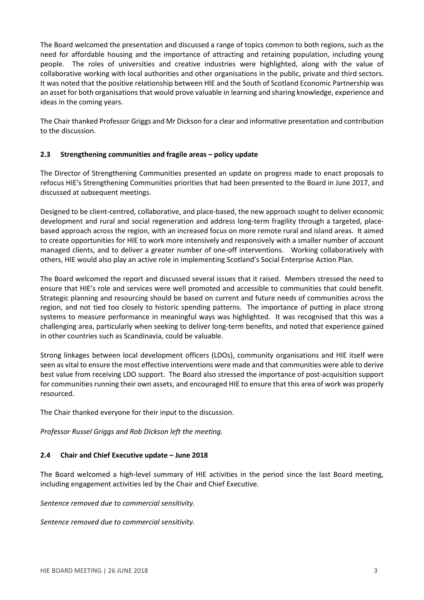The Board welcomed the presentation and discussed a range of topics common to both regions, such as the need for affordable housing and the importance of attracting and retaining population, including young people. The roles of universities and creative industries were highlighted, along with the value of collaborative working with local authorities and other organisations in the public, private and third sectors. It was noted that the positive relationship between HIE and the South of Scotland Economic Partnership was an asset for both organisations that would prove valuable in learning and sharing knowledge, experience and ideas in the coming years.

The Chair thanked Professor Griggs and Mr Dickson for a clear and informative presentation and contribution to the discussion.

# **2.3 Strengthening communities and fragile areas – policy update**

The Director of Strengthening Communities presented an update on progress made to enact proposals to refocus HIE's Strengthening Communities priorities that had been presented to the Board in June 2017, and discussed at subsequent meetings.

Designed to be client-centred, collaborative, and place-based, the new approach sought to deliver economic development and rural and social regeneration and address long-term fragility through a targeted, placebased approach across the region, with an increased focus on more remote rural and island areas. It aimed to create opportunities for HIE to work more intensively and responsively with a smaller number of account managed clients, and to deliver a greater number of one-off interventions. Working collaboratively with others, HIE would also play an active role in implementing Scotland's Social Enterprise Action Plan.

The Board welcomed the report and discussed several issues that it raised. Members stressed the need to ensure that HIE's role and services were well promoted and accessible to communities that could benefit. Strategic planning and resourcing should be based on current and future needs of communities across the region, and not tied too closely to historic spending patterns. The importance of putting in place strong systems to measure performance in meaningful ways was highlighted. It was recognised that this was a challenging area, particularly when seeking to deliver long-term benefits, and noted that experience gained in other countries such as Scandinavia, could be valuable.

Strong linkages between local development officers (LDOs), community organisations and HIE itself were seen as vital to ensure the most effective interventions were made and that communities were able to derive best value from receiving LDO support. The Board also stressed the importance of post-acquisition support for communities running their own assets, and encouraged HIE to ensure that this area of work was properly resourced.

The Chair thanked everyone for their input to the discussion.

*Professor Russel Griggs and Rob Dickson left the meeting.*

### **2.4 Chair and Chief Executive update – June 2018**

The Board welcomed a high-level summary of HIE activities in the period since the last Board meeting, including engagement activities led by the Chair and Chief Executive.

*Sentence removed due to commercial sensitivity.*

*Sentence removed due to commercial sensitivity.*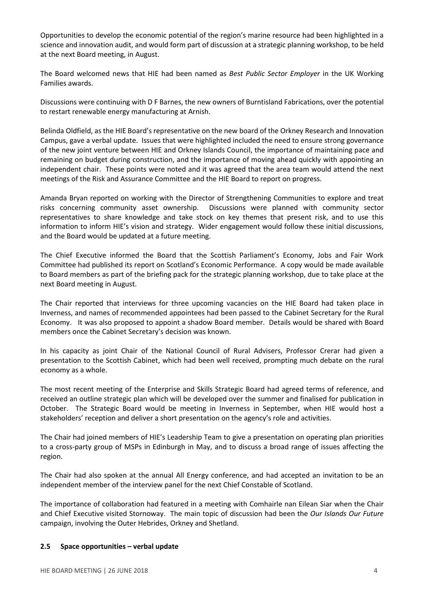Opportunities to develop the economic potential of the region's marine resource had been highlighted in a science and innovation audit, and would form part of discussion at a strategic planning workshop, to be held at the next Board meeting, in August.

The Board welcomed news that HIE had been named as *Best Public Sector Employer* in the UK Working Families awards.

Discussions were continuing with D F Barnes, the new owners of Burntisland Fabrications, over the potential to restart renewable energy manufacturing at Arnish.

Belinda Oldfield, as the HIE Board's representative on the new board of the Orkney Research and Innovation Campus, gave a verbal update. Issues that were highlighted included the need to ensure strong governance of the new joint venture between HIE and Orkney Islands Council, the importance of maintaining pace and remaining on budget during construction, and the importance of moving ahead quickly with appointing an independent chair. These points were noted and it was agreed that the area team would attend the next meetings of the Risk and Assurance Committee and the HIE Board to report on progress.

Amanda Bryan reported on working with the Director of Strengthening Communities to explore and treat risks concerning community asset ownership. Discussions were planned with community sector representatives to share knowledge and take stock on key themes that present risk, and to use this information to inform HIE's vision and strategy. Wider engagement would follow these initial discussions, and the Board would be updated at a future meeting.

The Chief Executive informed the Board that the Scottish Parliament's Economy, Jobs and Fair Work Committee had published its report on Scotland's Economic Performance. A copy would be made available to Board members as part of the briefing pack for the strategic planning workshop, due to take place at the next Board meeting in August.

The Chair reported that interviews for three upcoming vacancies on the HIE Board had taken place in Inverness, and names of recommended appointees had been passed to the Cabinet Secretary for the Rural Economy. It was also proposed to appoint a shadow Board member. Details would be shared with Board members once the Cabinet Secretary's decision was known.

In his capacity as joint Chair of the National Council of Rural Advisers, Professor Crerar had given a presentation to the Scottish Cabinet, which had been well received, prompting much debate on the rural economy as a whole.

The most recent meeting of the Enterprise and Skills Strategic Board had agreed terms of reference, and received an outline strategic plan which will be developed over the summer and finalised for publication in October. The Strategic Board would be meeting in Inverness in September, when HIE would host a stakeholders' reception and deliver a short presentation on the agency's role and activities.

The Chair had joined members of HIE's Leadership Team to give a presentation on operating plan priorities to a cross-party group of MSPs in Edinburgh in May, and to discuss a broad range of issues affecting the region.

The Chair had also spoken at the annual All Energy conference, and had accepted an invitation to be an independent member of the interview panel for the next Chief Constable of Scotland.

The importance of collaboration had featured in a meeting with Comhairle nan Eilean Siar when the Chair and Chief Executive visited Stornoway. The main topic of discussion had been the *Our Islands Our Future* campaign, involving the Outer Hebrides, Orkney and Shetland.

### **2.5 Space opportunities – verbal update**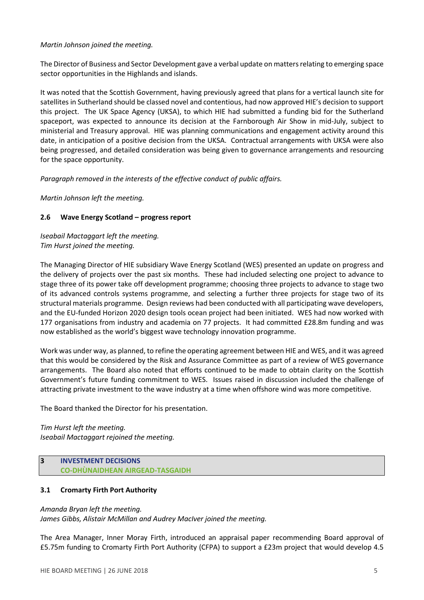# *Martin Johnson joined the meeting.*

The Director of Business and Sector Development gave a verbal update on mattersrelating to emerging space sector opportunities in the Highlands and islands.

It was noted that the Scottish Government, having previously agreed that plans for a vertical launch site for satellites in Sutherland should be classed novel and contentious, had now approved HIE's decision to support this project. The UK Space Agency (UKSA), to which HIE had submitted a funding bid for the Sutherland spaceport, was expected to announce its decision at the Farnborough Air Show in mid-July, subject to ministerial and Treasury approval. HIE was planning communications and engagement activity around this date, in anticipation of a positive decision from the UKSA. Contractual arrangements with UKSA were also being progressed, and detailed consideration was being given to governance arrangements and resourcing for the space opportunity.

*Paragraph removed in the interests of the effective conduct of public affairs.* 

*Martin Johnson left the meeting.*

# **2.6 Wave Energy Scotland – progress report**

*Iseabail Mactaggart left the meeting. Tim Hurst joined the meeting.*

The Managing Director of HIE subsidiary Wave Energy Scotland (WES) presented an update on progress and the delivery of projects over the past six months. These had included selecting one project to advance to stage three of its power take off development programme; choosing three projects to advance to stage two of its advanced controls systems programme, and selecting a further three projects for stage two of its structural materials programme. Design reviews had been conducted with all participating wave developers, and the EU-funded Horizon 2020 design tools ocean project had been initiated. WES had now worked with 177 organisations from industry and academia on 77 projects. It had committed £28.8m funding and was now established as the world's biggest wave technology innovation programme.

Work was under way, as planned, to refine the operating agreement between HIE and WES, and it was agreed that this would be considered by the Risk and Assurance Committee as part of a review of WES governance arrangements. The Board also noted that efforts continued to be made to obtain clarity on the Scottish Government's future funding commitment to WES. Issues raised in discussion included the challenge of attracting private investment to the wave industry at a time when offshore wind was more competitive.

The Board thanked the Director for his presentation.

*Tim Hurst left the meeting. Iseabail Mactaggart rejoined the meeting.*

# **3 INVESTMENT DECISIONS CO-DHÙNAIDHEAN AIRGEAD-TASGAIDH**

# **3.1 Cromarty Firth Port Authority**

# *Amanda Bryan left the meeting.*

*James Gibbs, Alistair McMillan and Audrey MacIver joined the meeting.*

The Area Manager, Inner Moray Firth, introduced an appraisal paper recommending Board approval of £5.75m funding to Cromarty Firth Port Authority (CFPA) to support a £23m project that would develop 4.5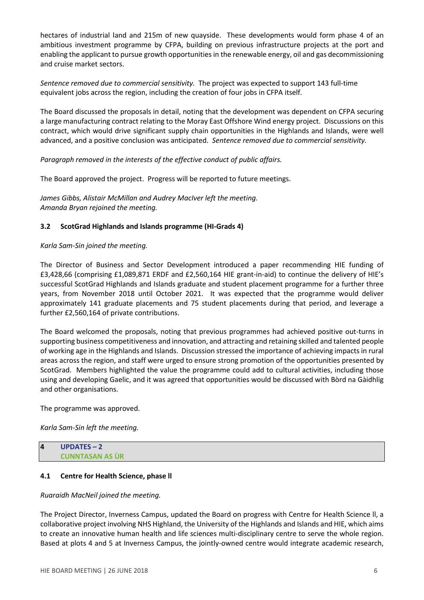hectares of industrial land and 215m of new quayside. These developments would form phase 4 of an ambitious investment programme by CFPA, building on previous infrastructure projects at the port and enabling the applicant to pursue growth opportunities in the renewable energy, oil and gas decommissioning and cruise market sectors.

*Sentence removed due to commercial sensitivity.* The project was expected to support 143 full-time equivalent jobs across the region, including the creation of four jobs in CFPA itself.

The Board discussed the proposals in detail, noting that the development was dependent on CFPA securing a large manufacturing contract relating to the Moray East Offshore Wind energy project. Discussions on this contract, which would drive significant supply chain opportunities in the Highlands and Islands, were well advanced, and a positive conclusion was anticipated. *Sentence removed due to commercial sensitivity.*

*Paragraph removed in the interests of the effective conduct of public affairs.* 

The Board approved the project. Progress will be reported to future meetings.

*James Gibbs, Alistair McMillan and Audrey MacIver left the meeting. Amanda Bryan rejoined the meeting.*

### **3.2 ScotGrad Highlands and Islands programme (HI-Grads 4)**

#### *Karla Sam-Sin joined the meeting.*

The Director of Business and Sector Development introduced a paper recommending HIE funding of £3,428,66 (comprising £1,089,871 ERDF and £2,560,164 HIE grant-in-aid) to continue the delivery of HIE's successful ScotGrad Highlands and Islands graduate and student placement programme for a further three years, from November 2018 until October 2021. It was expected that the programme would deliver approximately 141 graduate placements and 75 student placements during that period, and leverage a further £2,560,164 of private contributions.

The Board welcomed the proposals, noting that previous programmes had achieved positive out-turns in supporting business competitiveness and innovation, and attracting and retaining skilled and talented people of working age in the Highlands and Islands. Discussion stressed the importance of achieving impacts in rural areas across the region, and staff were urged to ensure strong promotion of the opportunities presented by ScotGrad. Members highlighted the value the programme could add to cultural activities, including those using and developing Gaelic, and it was agreed that opportunities would be discussed with Bòrd na Gàidhlig and other organisations.

### The programme was approved.

*Karla Sam-Sin left the meeting.*

#### **4 UPDATES – 2 CUNNTASAN AS ÙR**

### **4.1 Centre for Health Science, phase ll**

#### *Ruaraidh MacNeil joined the meeting.*

The Project Director, Inverness Campus, updated the Board on progress with Centre for Health Science ll, a collaborative project involving NHS Highland, the University of the Highlands and Islands and HIE, which aims to create an innovative human health and life sciences multi-disciplinary centre to serve the whole region. Based at plots 4 and 5 at Inverness Campus, the jointly-owned centre would integrate academic research,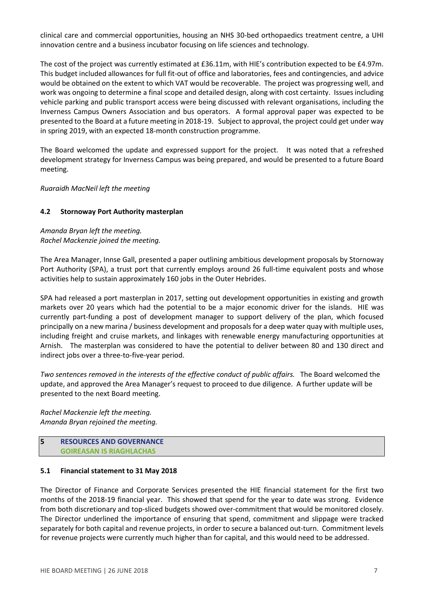clinical care and commercial opportunities, housing an NHS 30-bed orthopaedics treatment centre, a UHI innovation centre and a business incubator focusing on life sciences and technology.

The cost of the project was currently estimated at £36.11m, with HIE's contribution expected to be £4.97m. This budget included allowances for full fit-out of office and laboratories, fees and contingencies, and advice would be obtained on the extent to which VAT would be recoverable. The project was progressing well, and work was ongoing to determine a final scope and detailed design, along with cost certainty. Issues including vehicle parking and public transport access were being discussed with relevant organisations, including the Inverness Campus Owners Association and bus operators. A formal approval paper was expected to be presented to the Board at a future meeting in 2018-19. Subject to approval, the project could get under way in spring 2019, with an expected 18-month construction programme.

The Board welcomed the update and expressed support for the project. It was noted that a refreshed development strategy for Inverness Campus was being prepared, and would be presented to a future Board meeting.

*Ruaraidh MacNeil left the meeting*

### **4.2 Stornoway Port Authority masterplan**

*Amanda Bryan left the meeting. Rachel Mackenzie joined the meeting.*

The Area Manager, Innse Gall, presented a paper outlining ambitious development proposals by Stornoway Port Authority (SPA), a trust port that currently employs around 26 full-time equivalent posts and whose activities help to sustain approximately 160 jobs in the Outer Hebrides.

SPA had released a port masterplan in 2017, setting out development opportunities in existing and growth markets over 20 years which had the potential to be a major economic driver for the islands. HIE was currently part-funding a post of development manager to support delivery of the plan, which focused principally on a new marina / business development and proposals for a deep water quay with multiple uses, including freight and cruise markets, and linkages with renewable energy manufacturing opportunities at Arnish. The masterplan was considered to have the potential to deliver between 80 and 130 direct and indirect jobs over a three-to-five-year period.

*Two sentences removed in the interests of the effective conduct of public affairs.* The Board welcomed the update, and approved the Area Manager's request to proceed to due diligence. A further update will be presented to the next Board meeting.

*Rachel Mackenzie left the meeting. Amanda Bryan rejoined the meeting.*

#### **5 RESOURCES AND GOVERNANCE GOIREASAN IS RIAGHLACHAS**

### **5.1 Financial statement to 31 May 2018**

The Director of Finance and Corporate Services presented the HIE financial statement for the first two months of the 2018-19 financial year. This showed that spend for the year to date was strong. Evidence from both discretionary and top-sliced budgets showed over-commitment that would be monitored closely. The Director underlined the importance of ensuring that spend, commitment and slippage were tracked separately for both capital and revenue projects, in order to secure a balanced out-turn. Commitment levels for revenue projects were currently much higher than for capital, and this would need to be addressed.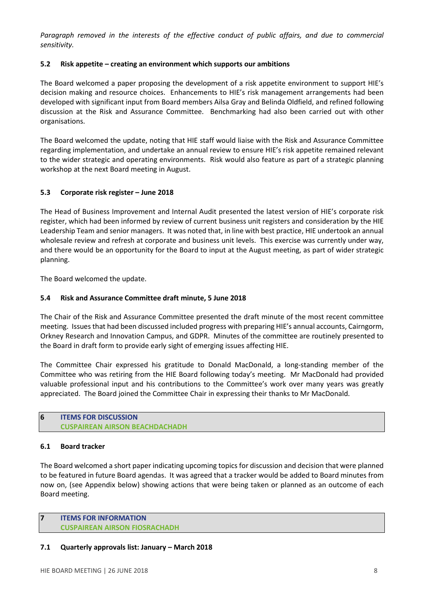*Paragraph removed in the interests of the effective conduct of public affairs, and due to commercial sensitivity.* 

# **5.2 Risk appetite – creating an environment which supports our ambitions**

The Board welcomed a paper proposing the development of a risk appetite environment to support HIE's decision making and resource choices. Enhancements to HIE's risk management arrangements had been developed with significant input from Board members Ailsa Gray and Belinda Oldfield, and refined following discussion at the Risk and Assurance Committee. Benchmarking had also been carried out with other organisations.

The Board welcomed the update, noting that HIE staff would liaise with the Risk and Assurance Committee regarding implementation, and undertake an annual review to ensure HIE's risk appetite remained relevant to the wider strategic and operating environments. Risk would also feature as part of a strategic planning workshop at the next Board meeting in August.

# **5.3 Corporate risk register – June 2018**

The Head of Business Improvement and Internal Audit presented the latest version of HIE's corporate risk register, which had been informed by review of current business unit registers and consideration by the HIE Leadership Team and senior managers. It was noted that, in line with best practice, HIE undertook an annual wholesale review and refresh at corporate and business unit levels. This exercise was currently under way, and there would be an opportunity for the Board to input at the August meeting, as part of wider strategic planning.

The Board welcomed the update.

# **5.4 Risk and Assurance Committee draft minute, 5 June 2018**

The Chair of the Risk and Assurance Committee presented the draft minute of the most recent committee meeting. Issues that had been discussed included progress with preparing HIE's annual accounts, Cairngorm, Orkney Research and Innovation Campus, and GDPR. Minutes of the committee are routinely presented to the Board in draft form to provide early sight of emerging issues affecting HIE.

The Committee Chair expressed his gratitude to Donald MacDonald, a long-standing member of the Committee who was retiring from the HIE Board following today's meeting. Mr MacDonald had provided valuable professional input and his contributions to the Committee's work over many years was greatly appreciated. The Board joined the Committee Chair in expressing their thanks to Mr MacDonald.

### **6 ITEMS FOR DISCUSSION CUSPAIREAN AIRSON BEACHDACHADH**

### **6.1 Board tracker**

The Board welcomed a short paper indicating upcoming topics for discussion and decision that were planned to be featured in future Board agendas. It was agreed that a tracker would be added to Board minutes from now on, (see Appendix below) showing actions that were being taken or planned as an outcome of each Board meeting.

#### **7 ITEMS FOR INFORMATION CUSPAIREAN AIRSON FIOSRACHADH**

### **7.1 Quarterly approvals list: January – March 2018**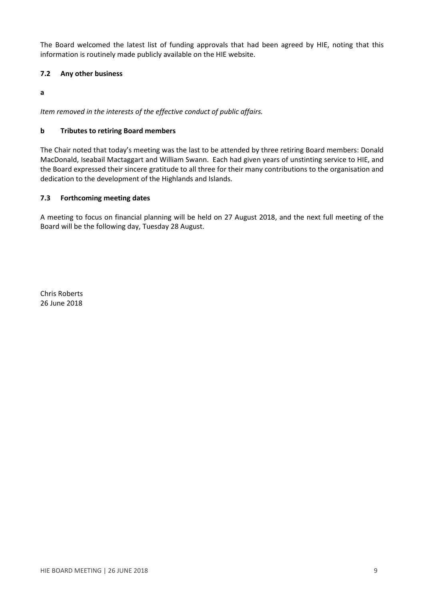The Board welcomed the latest list of funding approvals that had been agreed by HIE, noting that this information is routinely made publicly available on the HIE website.

# **7.2 Any other business**

**a**

*Item removed in the interests of the effective conduct of public affairs.* 

### **b Tributes to retiring Board members**

The Chair noted that today's meeting was the last to be attended by three retiring Board members: Donald MacDonald, Iseabail Mactaggart and William Swann. Each had given years of unstinting service to HIE, and the Board expressed their sincere gratitude to all three for their many contributions to the organisation and dedication to the development of the Highlands and Islands.

# **7.3 Forthcoming meeting dates**

A meeting to focus on financial planning will be held on 27 August 2018, and the next full meeting of the Board will be the following day, Tuesday 28 August.

Chris Roberts 26 June 2018